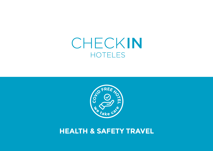# CHECKIN **HOTELES**



#### **HEALTH & SAFETY TRAVEL**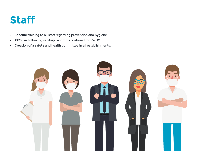## **Staff**

- **• Specific training** to all staff regarding prevention and hygiene.
- **• PPE use**, following sanitary recommendations from WHO.
- **• Creation of a safety and health** committee in all establishments.

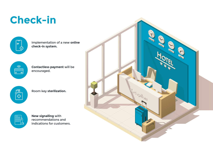# **Check-in**

| ₩ |   |
|---|---|
|   | í |
|   |   |

Implementation of a new **online check-in system.**

 $\begin{picture}(42,10) \put(0,0){\line(1,0){10}} \put(15,0){\line(1,0){10}} \put(15,0){\line(1,0){10}} \put(15,0){\line(1,0){10}} \put(15,0){\line(1,0){10}} \put(15,0){\line(1,0){10}} \put(15,0){\line(1,0){10}} \put(15,0){\line(1,0){10}} \put(15,0){\line(1,0){10}} \put(15,0){\line(1,0){10}} \put(15,0){\line(1,0){10}} \put(15,0){\line(1$ 

**Contactless payment** will be encouraged.

名<br>G-D

Room key **sterilization.**



**New signalling** with recommendations and indications for customers.

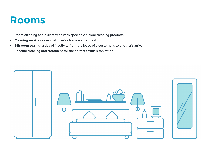### **Rooms**

- **• Room cleaning and disinfection** with specific virucidal cleaning products.
- **• Cleaning service** under customer's choice and request.
- **• 24h room sealing:** a day of inactivity from the leave of a customer's to another's arrival.
- **• Specific cleaning and treatment** for the correct textile's sanitation.

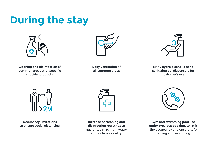# **During the stay**



**Cleaning and disinfection** of common areas with specific virucidal products.



**Daily ventilation** of all common areas



Many **hydro alcoholic hand sanitizing gel** dispensers for customer's use



**Occupancy limitations** to ensure social distancing



**Increase of cleaning and disinfection registries** to guarantee maximum water and surfaces' quality.



**Gym and swimming pool use under previous booking**, to limit the occupancy and ensure safe training and swimming.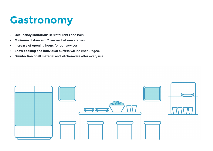# **Gastronomy**

- **• Occupancy limitations** in restaurants and bars.
- **• Minimum distance** of 2 metres between tables.
- **• Increase of opening hours** for our services.
- **• Show cooking and individual buffets** will be encouraged.
- **• Disinfection of all material and kitchenware** after every use.